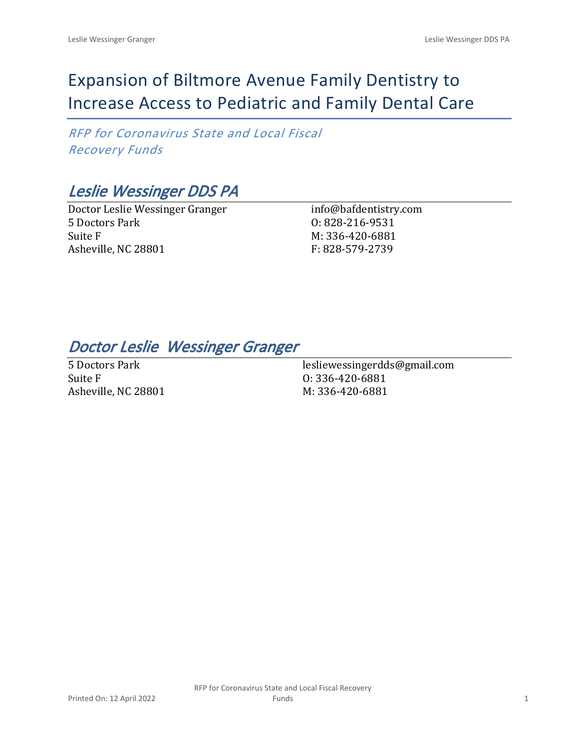# Expansion of Biltmore Avenue Family Dentistry to Increase Access to Pediatric and Family Dental Care

*RFP for Coronavirus State and Local Fiscal Recovery Funds*

# *Leslie Wessinger DDS PA*

Doctor Leslie Wessinger Granger 5 Doctors Park Suite F Asheville, NC 28801

info@bafdentistry.com O: 828-216-9531 M: 336-420-6881 F: 828-579-2739

## *Doctor Leslie Wessinger Granger*

5 Doctors Park Suite F Asheville, NC 28801

lesliewessingerdds@gmail.com O: 336-420-6881 M: 336-420-6881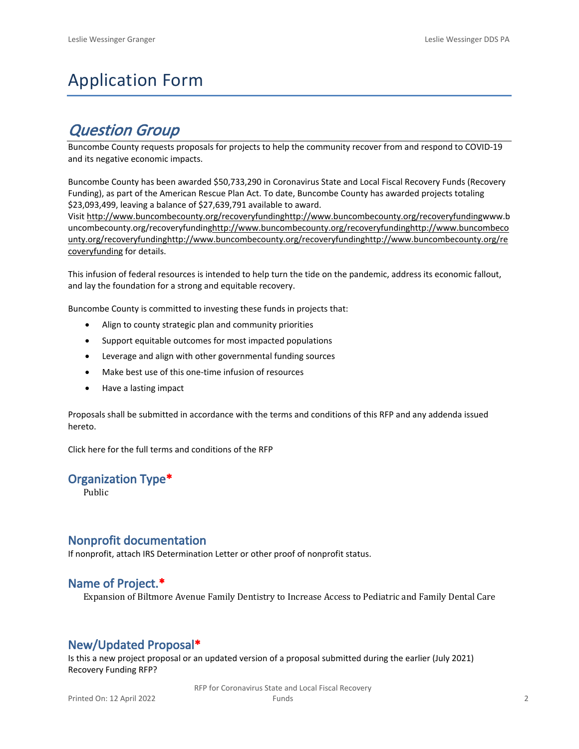# Application Form

## *Question Group*

Buncombe County requests proposals for projects to help the community recover from and respond to COVID-19 and its negative economic impacts.

Buncombe County has been awarded \$50,733,290 in Coronavirus State and Local Fiscal Recovery Funds (Recovery Funding), as part of the American Rescue Plan Act. To date, Buncombe County has awarded projects totaling \$23,093,499, leaving a balance of \$27,639,791 available to award.

Visit [http://www.buncombecounty.org/recoveryfundinghttp://www.buncombecounty.org/recoveryfundingwww.b](http://www.buncombecounty.org/recoveryfunding) [uncombecounty.org/recoveryfundinghttp://www.buncombecounty.org/recoveryfundinghttp://www.buncombeco](http://www.buncombecounty.org/recoveryfunding) [unty.org/recoveryfundinghttp://www.buncombecounty.org/recoveryfundinghttp://www.buncombecounty.org/re](http://www.buncombecounty.org/recoveryfunding) [coveryfunding](http://www.buncombecounty.org/recoveryfunding) for details.

This infusion of federal resources is intended to help turn the tide on the pandemic, address its economic fallout, and lay the foundation for a strong and equitable recovery.

Buncombe County is committed to investing these funds in projects that:

- Align to county strategic plan and community priorities
- Support equitable outcomes for most impacted populations
- Leverage and align with other governmental funding sources
- Make best use of this one-time infusion of resources
- Have a lasting impact

Proposals shall be submitted in accordance with the terms and conditions of this RFP and any addenda issued hereto.

Click [here](https://www.buncombecounty.org/common/purchasing/Buncombe%20Recovery%20Funding%20RFP%202022.pdf) for the full terms and conditions of the RFP

## **Organization Type\***

Public

### **Nonprofit documentation**

If nonprofit, attach IRS Determination Letter or other proof of nonprofit status.

### **Name of Project.\***

Expansion of Biltmore Avenue Family Dentistry to Increase Access to Pediatric and Family Dental Care

## **New/Updated Proposal\***

Is this a new project proposal or an updated version of a proposal submitted during the earlier (July 2021) Recovery Funding RFP?

> RFP for Coronavirus State and Local Fiscal Recovery Funds 2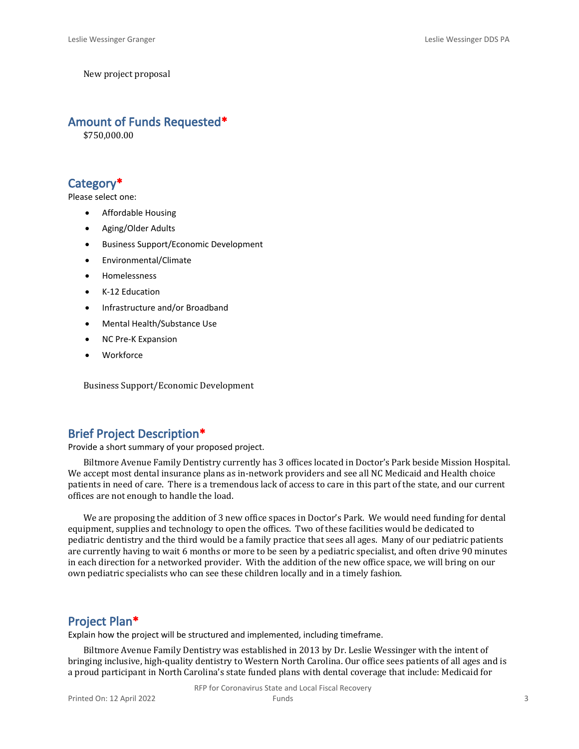New project proposal

#### **Amount of Funds Requested\***

\$750,000.00

## **Category\***

Please select one:

- Affordable Housing
- Aging/Older Adults
- Business Support/Economic Development
- Environmental/Climate
- Homelessness
- K-12 Education
- Infrastructure and/or Broadband
- Mental Health/Substance Use
- NC Pre-K Expansion
- **Workforce**

Business Support/Economic Development

## **Brief Project Description\***

Provide a short summary of your proposed project.

Biltmore Avenue Family Dentistry currently has 3 offices located in Doctor's Park beside Mission Hospital. We accept most dental insurance plans as in-network providers and see all NC Medicaid and Health choice patients in need of care. There is a tremendous lack of access to care in this part of the state, and our current offices are not enough to handle the load.

We are proposing the addition of 3 new office spaces in Doctor's Park. We would need funding for dental equipment, supplies and technology to open the offices. Two of these facilities would be dedicated to pediatric dentistry and the third would be a family practice that sees all ages. Many of our pediatric patients are currently having to wait 6 months or more to be seen by a pediatric specialist, and often drive 90 minutes in each direction for a networked provider. With the addition of the new office space, we will bring on our own pediatric specialists who can see these children locally and in a timely fashion.

#### **Project Plan\***

Explain how the project will be structured and implemented, including timeframe.

Biltmore Avenue Family Dentistry was established in 2013 by Dr. Leslie Wessinger with the intent of bringing inclusive, high-quality dentistry to Western North Carolina. Our office sees patients of all ages and is a proud participant in North Carolina's state funded plans with dental coverage that include: Medicaid for

RFP for Coronavirus State and Local Fiscal Recovery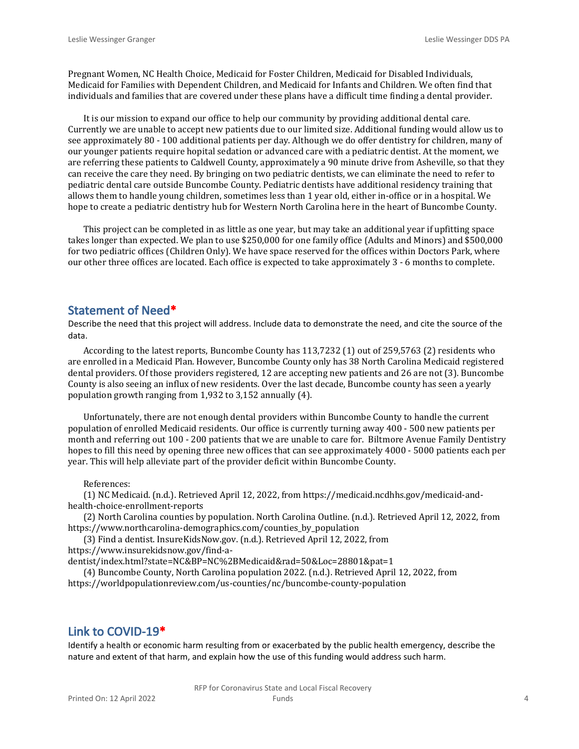Pregnant Women, NC Health Choice, Medicaid for Foster Children, Medicaid for Disabled Individuals, Medicaid for Families with Dependent Children, and Medicaid for Infants and Children. We often find that individuals and families that are covered under these plans have a difficult time finding a dental provider.

It is our mission to expand our office to help our community by providing additional dental care. Currently we are unable to accept new patients due to our limited size. Additional funding would allow us to see approximately 80 - 100 additional patients per day. Although we do offer dentistry for children, many of our younger patients require hopital sedation or advanced care with a pediatric dentist. At the moment, we are referring these patients to Caldwell County, approximately a 90 minute drive from Asheville, so that they can receive the care they need. By bringing on two pediatric dentists, we can eliminate the need to refer to pediatric dental care outside Buncombe County. Pediatric dentists have additional residency training that allows them to handle young children, sometimes less than 1 year old, either in-office or in a hospital. We hope to create a pediatric dentistry hub for Western North Carolina here in the heart of Buncombe County.

This project can be completed in as little as one year, but may take an additional year if upfitting space takes longer than expected. We plan to use \$250,000 for one family office (Adults and Minors) and \$500,000 for two pediatric offices (Children Only). We have space reserved for the offices within Doctors Park, where our other three offices are located. Each office is expected to take approximately 3 - 6 months to complete.

### **Statement of Need\***

Describe the need that this project will address. Include data to demonstrate the need, and cite the source of the data.

According to the latest reports, Buncombe County has 113,7232 (1) out of 259,5763 (2) residents who are enrolled in a Medicaid Plan. However, Buncombe County only has 38 North Carolina Medicaid registered dental providers. Of those providers registered, 12 are accepting new patients and 26 are not (3). Buncombe County is also seeing an influx of new residents. Over the last decade, Buncombe county has seen a yearly population growth ranging from 1,932 to 3,152 annually (4).

Unfortunately, there are not enough dental providers within Buncombe County to handle the current population of enrolled Medicaid residents. Our office is currently turning away 400 - 500 new patients per month and referring out 100 - 200 patients that we are unable to care for. Biltmore Avenue Family Dentistry hopes to fill this need by opening three new offices that can see approximately 4000 - 5000 patients each per year. This will help alleviate part of the provider deficit within Buncombe County.

#### References:

(1) NC Medicaid. (n.d.). Retrieved April 12, 2022, from https://medicaid.ncdhhs.gov/medicaid-andhealth-choice-enrollment-reports

(2) North Carolina counties by population. North Carolina Outline. (n.d.). Retrieved April 12, 2022, from https://www.northcarolina-demographics.com/counties\_by\_population

(3) Find a dentist. InsureKidsNow.gov. (n.d.). Retrieved April 12, 2022, from https://www.insurekidsnow.gov/find-a-

dentist/index.html?state=NC&BP=NC%2BMedicaid&rad=50&Loc=28801&pat=1

(4) Buncombe County, North Carolina population 2022. (n.d.). Retrieved April 12, 2022, from https://worldpopulationreview.com/us-counties/nc/buncombe-county-population

## **Link to COVID-19\***

Identify a health or economic harm resulting from or exacerbated by the public health emergency, describe the nature and extent of that harm, and explain how the use of this funding would address such harm.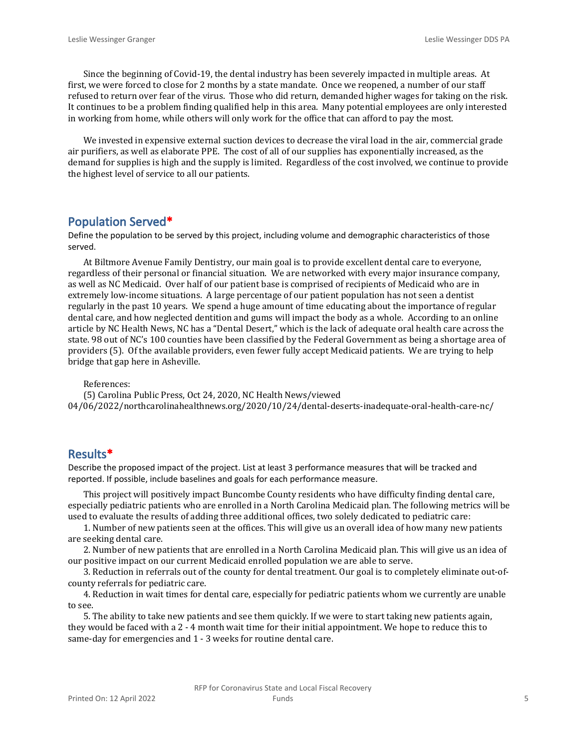Since the beginning of Covid-19, the dental industry has been severely impacted in multiple areas. At first, we were forced to close for 2 months by a state mandate. Once we reopened, a number of our staff refused to return over fear of the virus. Those who did return, demanded higher wages for taking on the risk. It continues to be a problem finding qualified help in this area. Many potential employees are only interested in working from home, while others will only work for the office that can afford to pay the most.

We invested in expensive external suction devices to decrease the viral load in the air, commercial grade air purifiers, as well as elaborate PPE. The cost of all of our supplies has exponentially increased, as the demand for supplies is high and the supply is limited. Regardless of the cost involved, we continue to provide the highest level of service to all our patients.

#### **Population Served\***

Define the population to be served by this project, including volume and demographic characteristics of those served.

At Biltmore Avenue Family Dentistry, our main goal is to provide excellent dental care to everyone, regardless of their personal or financial situation. We are networked with every major insurance company, as well as NC Medicaid. Over half of our patient base is comprised of recipients of Medicaid who are in extremely low-income situations. A large percentage of our patient population has not seen a dentist regularly in the past 10 years. We spend a huge amount of time educating about the importance of regular dental care, and how neglected dentition and gums will impact the body as a whole. According to an online article by NC Health News, NC has a "Dental Desert," which is the lack of adequate oral health care across the state. 98 out of NC's 100 counties have been classified by the Federal Government as being a shortage area of providers (5). Of the available providers, even fewer fully accept Medicaid patients. We are trying to help bridge that gap here in Asheville.

References:

(5) Carolina Public Press, Oct 24, 2020, NC Health News/viewed 04/06/2022/northcarolinahealthnews.org/2020/10/24/dental-deserts-inadequate-oral-health-care-nc/

#### **Results\***

Describe the proposed impact of the project. List at least 3 performance measures that will be tracked and reported. If possible, include baselines and goals for each performance measure.

This project will positively impact Buncombe County residents who have difficulty finding dental care, especially pediatric patients who are enrolled in a North Carolina Medicaid plan. The following metrics will be used to evaluate the results of adding three additional offices, two solely dedicated to pediatric care:

1. Number of new patients seen at the offices. This will give us an overall idea of how many new patients are seeking dental care.

2. Number of new patients that are enrolled in a North Carolina Medicaid plan. This will give us an idea of our positive impact on our current Medicaid enrolled population we are able to serve.

3. Reduction in referrals out of the county for dental treatment. Our goal is to completely eliminate out-ofcounty referrals for pediatric care.

4. Reduction in wait times for dental care, especially for pediatric patients whom we currently are unable to see.

5. The ability to take new patients and see them quickly. If we were to start taking new patients again, they would be faced with a 2 - 4 month wait time for their initial appointment. We hope to reduce this to same-day for emergencies and 1 - 3 weeks for routine dental care.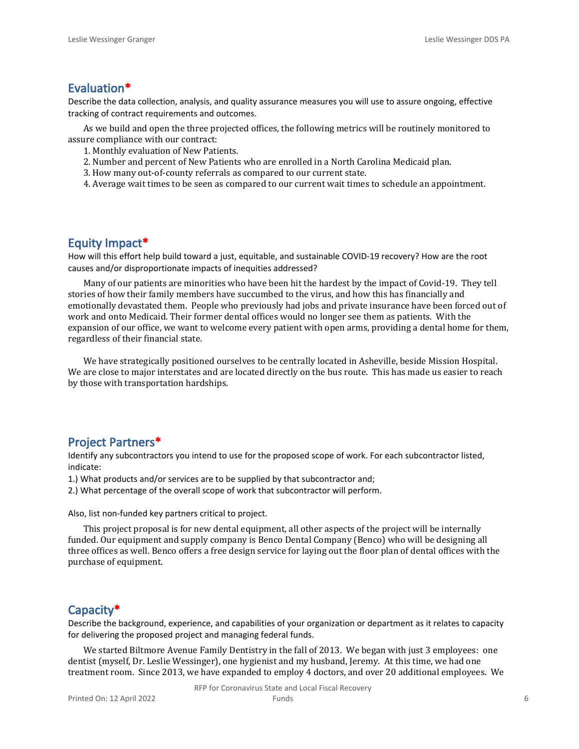## **Evaluation\***

Describe the data collection, analysis, and quality assurance measures you will use to assure ongoing, effective tracking of contract requirements and outcomes.

As we build and open the three projected offices, the following metrics will be routinely monitored to assure compliance with our contract:

- 1. Monthly evaluation of New Patients.
- 2. Number and percent of New Patients who are enrolled in a North Carolina Medicaid plan.
- 3. How many out-of-county referrals as compared to our current state.
- 4. Average wait times to be seen as compared to our current wait times to schedule an appointment.

### **Equity Impact\***

How will this effort help build toward a just, equitable, and sustainable COVID-19 recovery? How are the root causes and/or disproportionate impacts of inequities addressed?

Many of our patients are minorities who have been hit the hardest by the impact of Covid-19. They tell stories of how their family members have succumbed to the virus, and how this has financially and emotionally devastated them. People who previously had jobs and private insurance have been forced out of work and onto Medicaid. Their former dental offices would no longer see them as patients. With the expansion of our office, we want to welcome every patient with open arms, providing a dental home for them, regardless of their financial state.

We have strategically positioned ourselves to be centrally located in Asheville, beside Mission Hospital. We are close to major interstates and are located directly on the bus route. This has made us easier to reach by those with transportation hardships.

## **Project Partners\***

Identify any subcontractors you intend to use for the proposed scope of work. For each subcontractor listed, indicate:

1.) What products and/or services are to be supplied by that subcontractor and;

2.) What percentage of the overall scope of work that subcontractor will perform.

Also, list non-funded key partners critical to project.

This project proposal is for new dental equipment, all other aspects of the project will be internally funded. Our equipment and supply company is Benco Dental Company (Benco) who will be designing all three offices as well. Benco offers a free design service for laying out the floor plan of dental offices with the purchase of equipment.

### **Capacity\***

Describe the background, experience, and capabilities of your organization or department as it relates to capacity for delivering the proposed project and managing federal funds.

We started Biltmore Avenue Family Dentistry in the fall of 2013. We began with just 3 employees: one dentist (myself, Dr. Leslie Wessinger), one hygienist and my husband, Jeremy. At this time, we had one treatment room. Since 2013, we have expanded to employ 4 doctors, and over 20 additional employees. We

RFP for Coronavirus State and Local Fiscal Recovery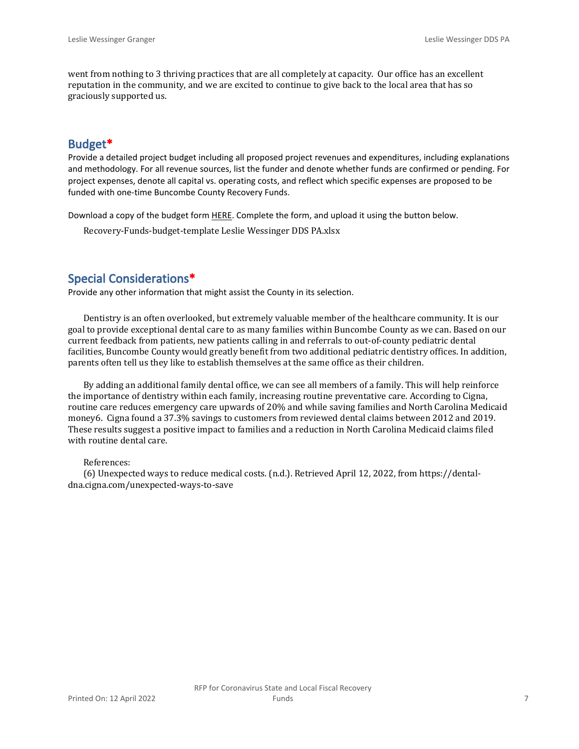went from nothing to 3 thriving practices that are all completely at capacity. Our office has an excellent reputation in the community, and we are excited to continue to give back to the local area that has so graciously supported us.

## **Budget\***

Provide a detailed project budget including all proposed project revenues and expenditures, including explanations and methodology. For all revenue sources, list the funder and denote whether funds are confirmed or pending. For project expenses, denote all capital vs. operating costs, and reflect which specific expenses are proposed to be funded with one-time Buncombe County Recovery Funds.

Download a copy of the budget form [HERE](https://buncombecounty.org/common/community-investment/grants/early-childhood-education/Recovery-Funds-budget-template.xlsx). Complete the form, and upload it using the button below.

Recovery-Funds-budget-template Leslie Wessinger DDS PA.xlsx

## **Special Considerations\***

Provide any other information that might assist the County in its selection.

Dentistry is an often overlooked, but extremely valuable member of the healthcare community. It is our goal to provide exceptional dental care to as many families within Buncombe County as we can. Based on our current feedback from patients, new patients calling in and referrals to out-of-county pediatric dental facilities, Buncombe County would greatly benefit from two additional pediatric dentistry offices. In addition, parents often tell us they like to establish themselves at the same office as their children.

By adding an additional family dental office, we can see all members of a family. This will help reinforce the importance of dentistry within each family, increasing routine preventative care. According to Cigna, routine care reduces emergency care upwards of 20% and while saving families and North Carolina Medicaid money6. Cigna found a 37.3% savings to customers from reviewed dental claims between 2012 and 2019. These results suggest a positive impact to families and a reduction in North Carolina Medicaid claims filed with routine dental care.

#### References:

(6) Unexpected ways to reduce medical costs. (n.d.). Retrieved April 12, 2022, from https://dentaldna.cigna.com/unexpected-ways-to-save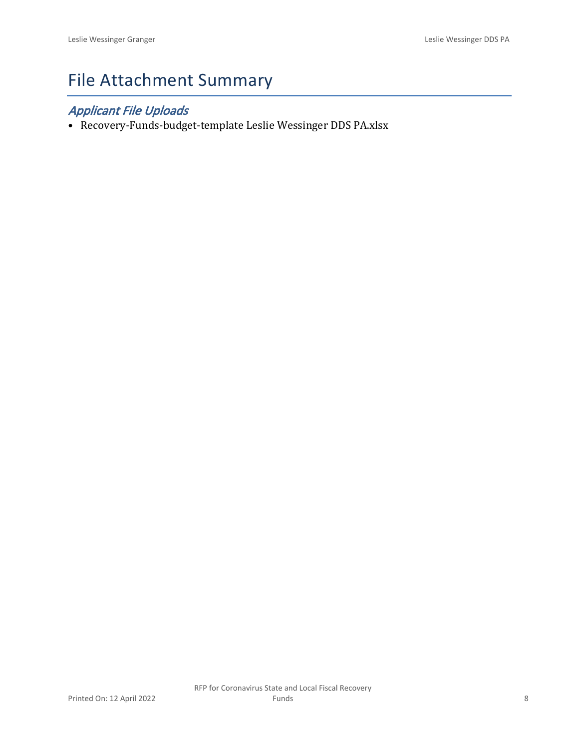# File Attachment Summary

## *Applicant File Uploads*

• Recovery-Funds-budget-template Leslie Wessinger DDS PA.xlsx